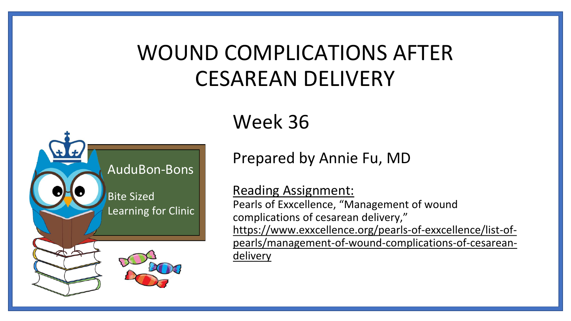# WOUND COMPLICATIONS AFTER CESAREAN DELIVERY



### Week 36

Prepared by Annie Fu, MD

Reading Assignment:

Pearls of Exxcellence, "Management of wound complications of cesarean delivery," https://www.exxcellence.org/pearls-of-exxcellence/list-of[pearls/management-of-wound-complications-of-cesarean](https://www.exxcellence.org/pearls-of-exxcellence/list-of-pearls/management-of-wound-complications-of-cesarean-delivery)delivery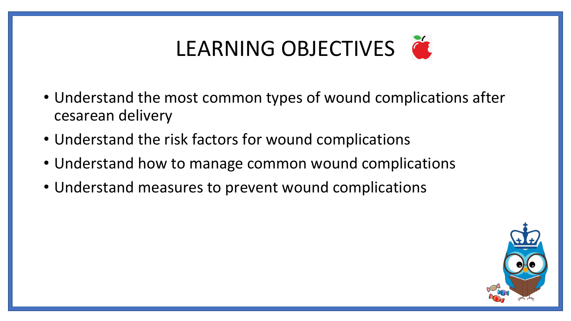# LEARNING OBJECTIVES

- Understand the most common types of wound complications after cesarean delivery
- Understand the risk factors for wound complications
- Understand how to manage common wound complications
- Understand measures to prevent wound complications

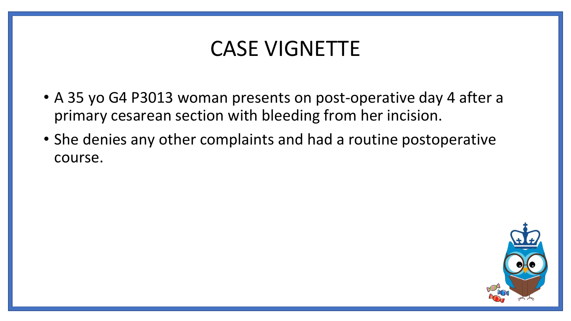### CASE VIGNETTE

- A 35 yo G4 P3013 woman presents on post-operative day 4 after a primary cesarean section with bleeding from her incision.
- She denies any other complaints and had a routine postoperative course.

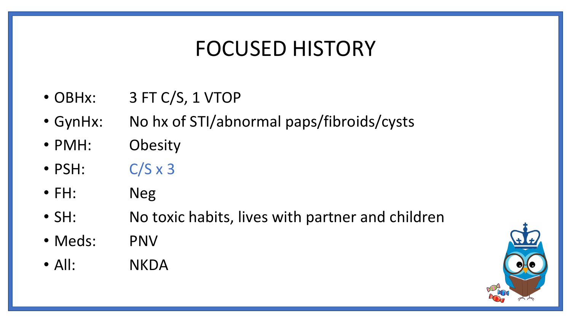### FOCUSED HISTORY

- OBHx: 3 FT C/S, 1 VTOP
- GynHx: No hx of STI/abnormal paps/fibroids/cysts
- PMH: Obesity
- $\cdot$  PSH:  $C/S \times 3$
- FH: Neg
- SH: No toxic habits, lives with partner and children
- Meds: PNV
- All: NKDA

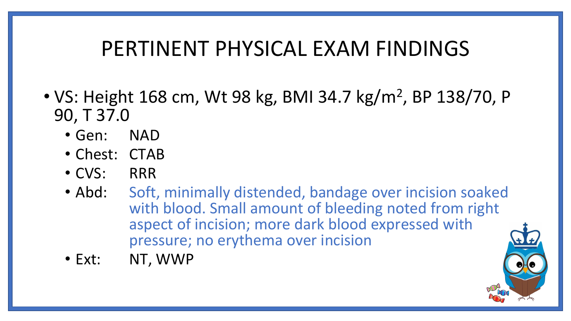### PERTINENT PHYSICAL EXAM FINDINGS

- VS: Height 168 cm, Wt 98 kg, BMI 34.7 kg/m<sup>2</sup>, BP 138/70, P 90, T 37.0
	- Gen: NAD
	- Chest: CTAB
	- CVS: RRR
	- Abd: Soft, minimally distended, bandage over incision soaked with blood. Small amount of bleeding noted from right aspect of incision; more dark blood expressed with pressure; no erythema over incision
	- Ext: NT, WWP

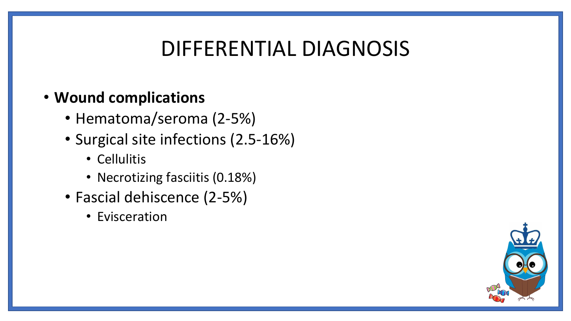### DIFFERENTIAL DIAGNOSIS

#### • **Wound complications**

- Hematoma/seroma (2-5%)
- Surgical site infections (2.5-16%)
	- Cellulitis
	- Necrotizing fasciitis (0.18%)
- Fascial dehiscence (2-5%)
	- Evisceration

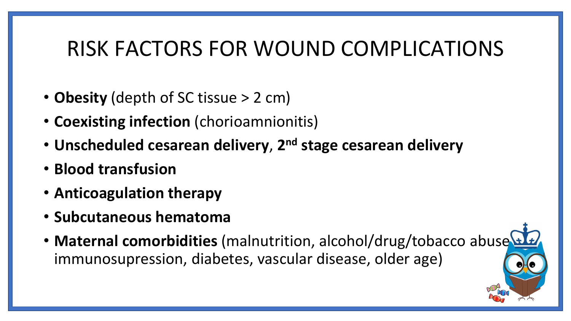### RISK FACTORS FOR WOUND COMPLICATIONS

- **Obesity** (depth of SC tissue > 2 cm)
- **Coexisting infection** (chorioamnionitis)
- **Unscheduled cesarean delivery**, **2 nd stage cesarean delivery**
- **Blood transfusion**
- **Anticoagulation therapy**
- **Subcutaneous hematoma**
- Maternal comorbidities (malnutrition, alcohol/drug/tobacco abuse immunosupression, diabetes, vascular disease, older age)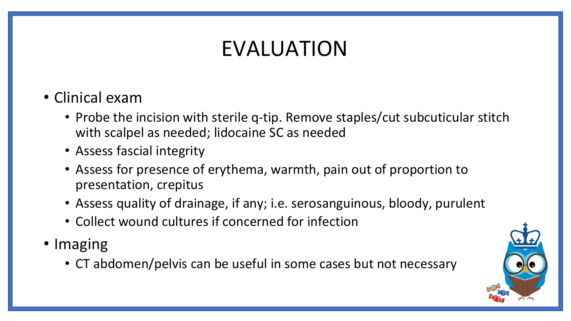# EVALUATION

- Clinical exam
	- Probe the incision with sterile q-tip. Remove staples/cut subcuticular stitch with scalpel as needed; lidocaine SC as needed
	- Assess fascial integrity
	- Assess for presence of erythema, warmth, pain out of proportion to presentation, crepitus
	- Assess quality of drainage, if any; i.e. serosanguinous, bloody, purulent
	- Collect wound cultures if concerned for infection
- Imaging
	- CT abdomen/pelvis can be useful in some cases but not necessary

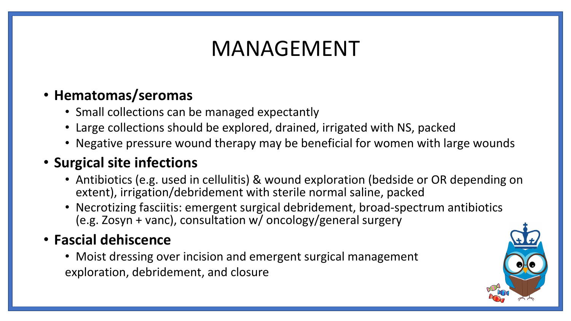## MANAGEMENT

#### • **Hematomas/seromas**

- Small collections can be managed expectantly
- Large collections should be explored, drained, irrigated with NS, packed
- Negative pressure wound therapy may be beneficial for women with large wounds

#### • **Surgical site infections**

- Antibiotics (e.g. used in cellulitis) & wound exploration (bedside or OR depending on extent), irrigation/debridement with sterile normal saline, packed
- Necrotizing fasciitis: emergent surgical debridement, broad-spectrum antibiotics (e.g. Zosyn + vanc), consultation w/ oncology/general surgery

#### • **Fascial dehiscence**

• Moist dressing over incision and emergent surgical management exploration, debridement, and closure

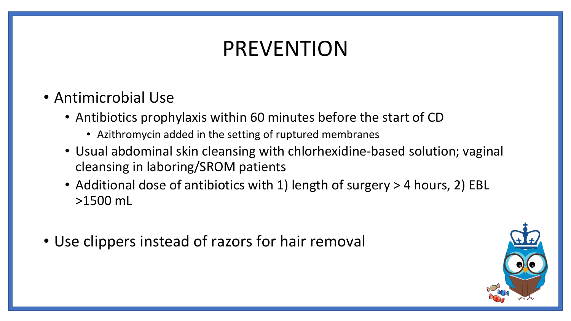# PREVENTION

- Antimicrobial Use
	- Antibiotics prophylaxis within 60 minutes before the start of CD
		- Azithromycin added in the setting of ruptured membranes
	- Usual abdominal skin cleansing with chlorhexidine-based solution; vaginal cleansing in laboring/SROM patients
	- Additional dose of antibiotics with 1) length of surgery > 4 hours, 2) EBL >1500 mL
- Use clippers instead of razors for hair removal

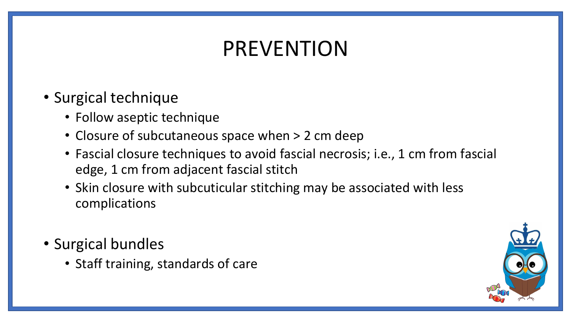# PREVENTION

- Surgical technique
	- Follow aseptic technique
	- Closure of subcutaneous space when > 2 cm deep
	- Fascial closure techniques to avoid fascial necrosis; i.e., 1 cm from fascial edge, 1 cm from adjacent fascial stitch
	- Skin closure with subcuticular stitching may be associated with less complications
- Surgical bundles
	- Staff training, standards of care

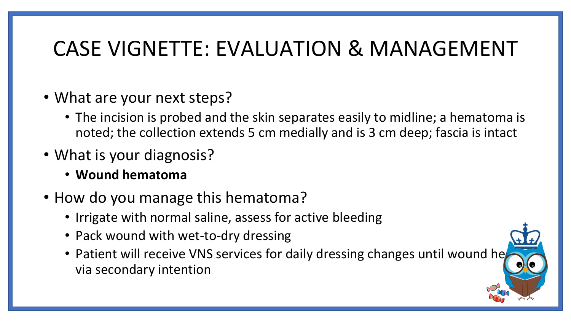### CASE VIGNETTE: EVALUATION & MANAGEMENT

- What are your next steps?
	- The incision is probed and the skin separates easily to midline; a hematoma is noted; the collection extends 5 cm medially and is 3 cm deep; fascia is intact
- What is your diagnosis?
	- **Wound hematoma**
- How do you manage this hematoma?
	- Irrigate with normal saline, assess for active bleeding
	- Pack wound with wet-to-dry dressing
	- Patient will receive VNS services for daily dressing changes until wound he via secondary intention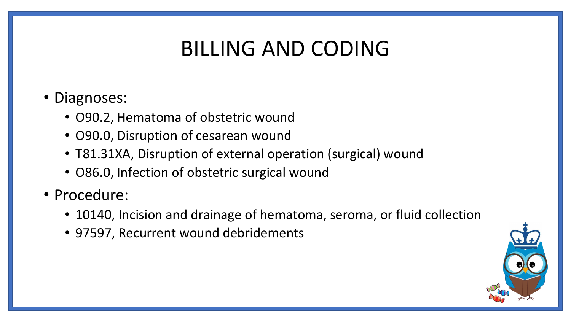# BILLING AND CODING

#### • Diagnoses:

- O90.2, Hematoma of obstetric wound
- O90.0, Disruption of cesarean wound
- T81.31XA, Disruption of external operation (surgical) wound
- O86.0, Infection of obstetric surgical wound
- Procedure:
	- 10140, Incision and drainage of hematoma, seroma, or fluid collection
	- 97597, Recurrent wound debridements

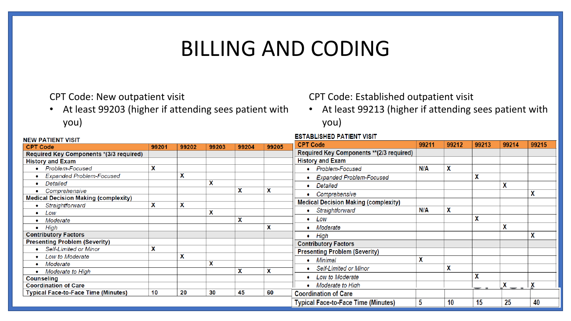### BILLING AND CODING

CPT Code: New outpatient visit

• At least 99203 (higher if attending sees patient with you)

CPT Code: Established outpatient visit

• At least 99213 (higher if attending sees patient with you)

| <b>NEW PATIENT VISIT</b>                    |                           |                           |       |                           |       | ESTABLISHED PATIENT VISH                    |            |       |       |       |       |
|---------------------------------------------|---------------------------|---------------------------|-------|---------------------------|-------|---------------------------------------------|------------|-------|-------|-------|-------|
| <b>CPT Code</b>                             | 99201                     | 99202                     | 99203 | 99204                     | 99205 | <b>CPT Code</b>                             | 99211      | 99212 | 99213 | 99214 | 99215 |
| Required Key Components *(3/3 required)     |                           |                           |       |                           |       | Required Key Components ** (2/3 required)   |            |       |       |       |       |
| <b>History and Exam</b>                     |                           |                           |       |                           |       | <b>History and Exam</b>                     |            |       |       |       |       |
| Problem-Focused                             | $\mathbf x$               |                           |       |                           |       | Problem-Focused                             | <b>N/A</b> | X     |       |       |       |
| <b>Expanded Problem-Focused</b>             |                           | X                         |       |                           |       | <b>Expanded Problem-Focused</b>             |            |       | X     |       |       |
| Detailed                                    |                           |                           | X     |                           |       | Detailed                                    |            |       |       | A     |       |
| Comprehensive                               |                           |                           |       | X                         | X     | Comprehensive                               |            |       |       |       |       |
| <b>Medical Decision Making (complexity)</b> |                           |                           |       |                           |       |                                             |            |       |       |       |       |
| Straightforward                             | $\boldsymbol{\mathsf{x}}$ | $\boldsymbol{\mathsf{x}}$ |       |                           |       | <b>Medical Decision Making (complexity)</b> |            |       |       |       |       |
| Low                                         |                           |                           | X     |                           |       | Straightforward                             | <b>N/A</b> | χ     |       |       |       |
| Moderate                                    |                           |                           |       | $\boldsymbol{\mathsf{x}}$ |       | Low                                         |            |       | X     |       |       |
| High<br>$\bullet$                           |                           |                           |       |                           | X     | • Moderate                                  |            |       |       | χ     |       |
| <b>Contributory Factors</b>                 |                           |                           |       |                           |       | High                                        |            |       |       |       | A     |
| <b>Presenting Problem (Severity)</b>        |                           |                           |       |                           |       | <b>Contributory Factors</b>                 |            |       |       |       |       |
| • Self-Limited or Minor                     | X                         |                           |       |                           |       | <b>Presenting Problem (Severity)</b>        |            |       |       |       |       |
| Low to Moderate                             |                           | X                         |       |                           |       |                                             |            |       |       |       |       |
| Moderate                                    |                           |                           | X     |                           |       | Minimal                                     | ∼          |       |       |       |       |
| Moderate to High                            |                           |                           |       | x                         | X     | • Self-Limited or Minor                     |            | χ     |       |       |       |
| <b>Counseling</b>                           |                           |                           |       |                           |       | Low to Moderate                             |            |       | χ     |       |       |
| <b>Coordination of Care</b>                 |                           |                           |       |                           |       | Moderate to High                            |            |       |       | A     |       |
| <b>Typical Face-to-Face Time (Minutes)</b>  | 10                        | 20                        | 30    | 45                        | 60    | <b>Coordination of Care</b>                 |            |       |       |       |       |
|                                             |                           |                           |       |                           |       | <b>Typical Face-to-Face Time (Minutes)</b>  | 5          | 10    | 15    | 25    | 40    |

. . . . . . . . . .

8. A 9. ISBN 97-5-71-8-71